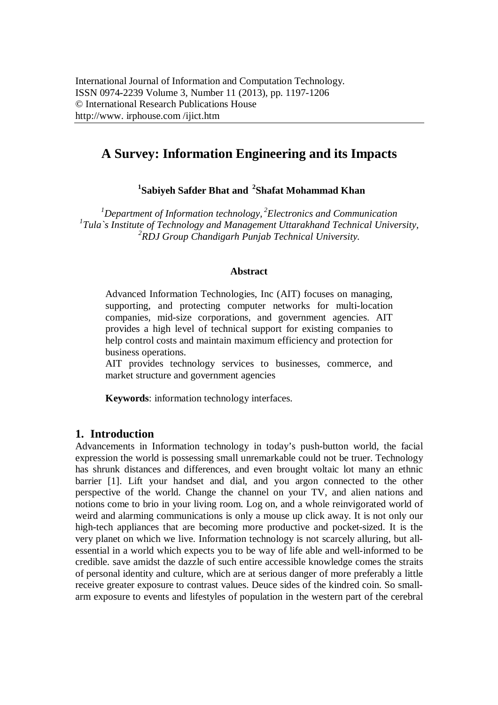# **A Survey: Information Engineering and its Impacts**

**1 Sabiyeh Safder Bhat and <sup>2</sup> Shafat Mohammad Khan**

*<sup>1</sup>Department of Information technology, <sup>2</sup> Electronics and Communication 1 Tula`s Institute of Technology and Management Uttarakhand Technical University, 2 RDJ Group Chandigarh Punjab Technical University.*

#### **Abstract**

Advanced Information Technologies, Inc (AIT) focuses on managing, supporting, and protecting computer networks for multi-location companies, mid-size corporations, and government agencies. AIT provides a high level of technical support for existing companies to help control costs and maintain maximum efficiency and protection for business operations.

AIT provides technology services to businesses, commerce, and market structure and government agencies

**Keywords**: information technology interfaces.

## **1. Introduction**

Advancements in Information technology in today's push-button world, the facial expression the world is possessing small unremarkable could not be truer. Technology has shrunk distances and differences, and even brought voltaic lot many an ethnic barrier [1]. Lift your handset and dial, and you argon connected to the other perspective of the world. Change the channel on your TV, and alien nations and notions come to brio in your living room. Log on, and a whole reinvigorated world of weird and alarming communications is only a mouse up click away. It is not only our high-tech appliances that are becoming more productive and pocket-sized. It is the very planet on which we live. Information technology is not scarcely alluring, but allessential in a world which expects you to be way of life able and well-informed to be credible. save amidst the dazzle of such entire accessible knowledge comes the straits of personal identity and culture, which are at serious danger of more preferably a little receive greater exposure to contrast values. Deuce sides of the kindred coin. So smallarm exposure to events and lifestyles of population in the western part of the cerebral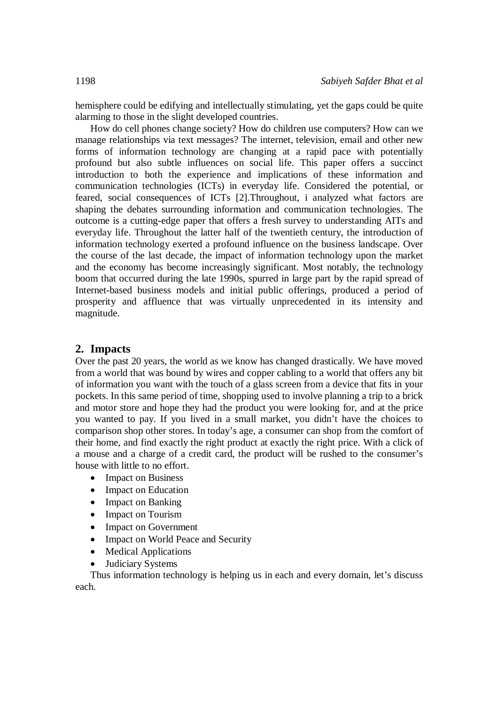hemisphere could be edifying and intellectually stimulating, yet the gaps could be quite alarming to those in the slight developed countries.

How do cell phones change society? How do children use computers? How can we manage relationships via text messages? The internet, television, email and other new forms of information technology are changing at a rapid pace with potentially profound but also subtle influences on social life. This paper offers a succinct introduction to both the experience and implications of these information and communication technologies (ICTs) in everyday life. Considered the potential, or feared, social consequences of ICTs [2].Throughout, i analyzed what factors are shaping the debates surrounding information and communication technologies. The outcome is a cutting-edge paper that offers a fresh survey to understanding AITs and everyday life. Throughout the latter half of the twentieth century, the introduction of information technology exerted a profound influence on the business landscape. Over the course of the last decade, the impact of information technology upon the market and the economy has become increasingly significant. Most notably, the technology boom that occurred during the late 1990s, spurred in large part by the rapid spread of Internet-based business models and initial public offerings, produced a period of prosperity and affluence that was virtually unprecedented in its intensity and magnitude.

## **2. Impacts**

Over the past 20 years, the world as we know has changed drastically. We have moved from a world that was bound by wires and copper cabling to a world that offers any bit of information you want with the touch of a glass screen from a device that fits in your pockets. In this same period of time, shopping used to involve planning a trip to a brick and motor store and hope they had the product you were looking for, and at the price you wanted to pay. If you lived in a small market, you didn't have the choices to comparison shop other stores. In today's age, a consumer can shop from the comfort of their home, and find exactly the right product at exactly the right price. With a click of a mouse and a charge of a credit card, the product will be rushed to the consumer's house with little to no effort.

- Impact on Business
- Impact on Education
- Impact on Banking
- Impact on Tourism
- Impact on Government
- Impact on World Peace and Security
- Medical Applications
- Judiciary Systems

Thus information technology is helping us in each and every domain, let's discuss each.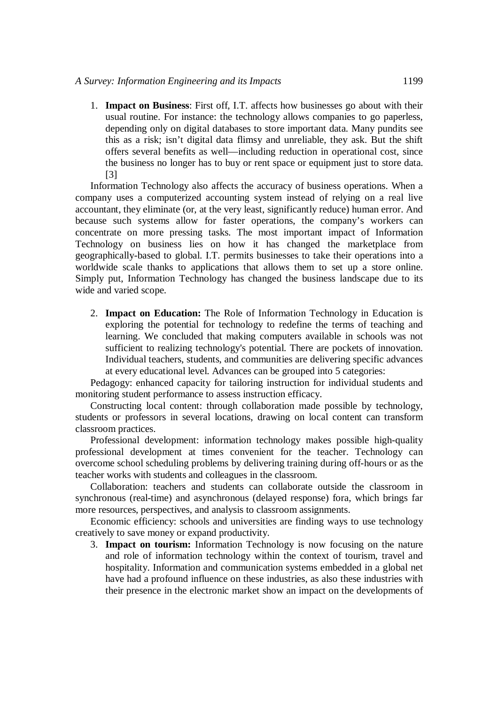1. **Impact on Business**: First off, I.T. affects how businesses go about with their usual routine. For instance: the technology allows companies to go paperless, depending only on digital databases to store important data. Many pundits see this as a risk; isn't digital data flimsy and unreliable, they ask. But the shift offers several benefits as well—including reduction in operational cost, since the business no longer has to buy or rent space or equipment just to store data. [3]

Information Technology also affects the accuracy of business operations. When a company uses a computerized accounting system instead of relying on a real live accountant, they eliminate (or, at the very least, significantly reduce) human error. And because such systems allow for faster operations, the company's workers can concentrate on more pressing tasks. The most important impact of Information Technology on business lies on how it has changed the marketplace from geographically-based to global. I.T. permits businesses to take their operations into a worldwide scale thanks to applications that allows them to set up a store online. Simply put, Information Technology has changed the business landscape due to its wide and varied scope.

2. **Impact on Education:** The Role of Information Technology in Education is exploring the potential for technology to redefine the terms of teaching and learning. We concluded that making computers available in schools was not sufficient to realizing technology's potential. There are pockets of innovation. Individual teachers, students, and communities are delivering specific advances at every educational level. Advances can be grouped into 5 categories:

Pedagogy: enhanced capacity for tailoring instruction for individual students and monitoring student performance to assess instruction efficacy.

Constructing local content: through collaboration made possible by technology, students or professors in several locations, drawing on local content can transform classroom practices.

Professional development: information technology makes possible high-quality professional development at times convenient for the teacher. Technology can overcome school scheduling problems by delivering training during off-hours or as the teacher works with students and colleagues in the classroom.

Collaboration: teachers and students can collaborate outside the classroom in synchronous (real-time) and asynchronous (delayed response) fora, which brings far more resources, perspectives, and analysis to classroom assignments.

Economic efficiency: schools and universities are finding ways to use technology creatively to save money or expand productivity.

3. **Impact on tourism:** Information Technology is now focusing on the nature and role of information technology within the context of tourism, travel and hospitality. Information and communication systems embedded in a global net have had a profound influence on these industries, as also these industries with their presence in the electronic market show an impact on the developments of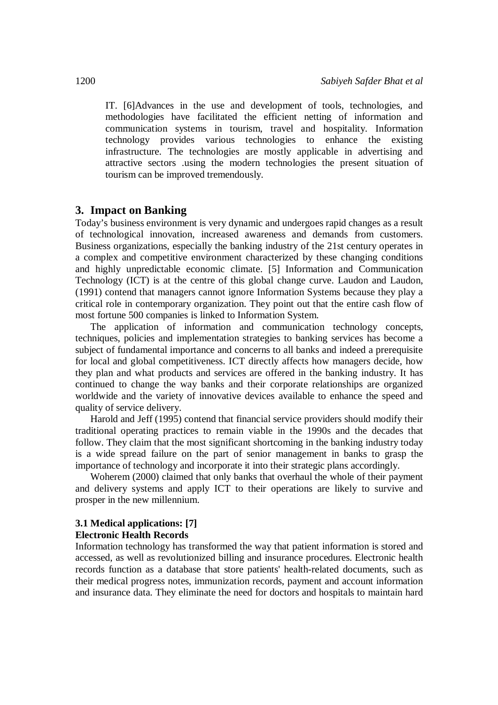IT. [6]Advances in the use and development of tools, technologies, and methodologies have facilitated the efficient netting of information and communication systems in tourism, travel and hospitality. Information technology provides various technologies to enhance the existing infrastructure. The technologies are mostly applicable in advertising and attractive sectors .using the modern technologies the present situation of tourism can be improved tremendously.

### **3. Impact on Banking**

Today's business environment is very dynamic and undergoes rapid changes as a result of technological innovation, increased awareness and demands from customers. Business organizations, especially the banking industry of the 21st century operates in a complex and competitive environment characterized by these changing conditions and highly unpredictable economic climate. [5] Information and Communication Technology (ICT) is at the centre of this global change curve. Laudon and Laudon, (1991) contend that managers cannot ignore Information Systems because they play a critical role in contemporary organization. They point out that the entire cash flow of most fortune 500 companies is linked to Information System.

The application of information and communication technology concepts, techniques, policies and implementation strategies to banking services has become a subject of fundamental importance and concerns to all banks and indeed a prerequisite for local and global competitiveness. ICT directly affects how managers decide, how they plan and what products and services are offered in the banking industry. It has continued to change the way banks and their corporate relationships are organized worldwide and the variety of innovative devices available to enhance the speed and quality of service delivery.

Harold and Jeff (1995) contend that financial service providers should modify their traditional operating practices to remain viable in the 1990s and the decades that follow. They claim that the most significant shortcoming in the banking industry today is a wide spread failure on the part of senior management in banks to grasp the importance of technology and incorporate it into their strategic plans accordingly.

Woherem (2000) claimed that only banks that overhaul the whole of their payment and delivery systems and apply ICT to their operations are likely to survive and prosper in the new millennium.

#### **3.1 Medical applications: [7] Electronic Health Records**

Information technology has transformed the way that patient information is stored and accessed, as well as revolutionized billing and insurance procedures. Electronic health records function as a database that store patients' health-related documents, such as their medical progress notes, immunization records, payment and account information and insurance data. They eliminate the need for doctors and hospitals to maintain hard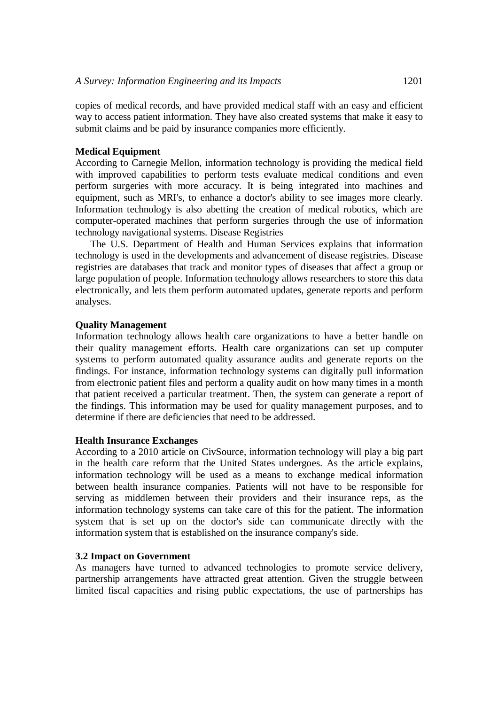copies of medical records, and have provided medical staff with an easy and efficient way to access patient information. They have also created systems that make it easy to submit claims and be paid by insurance companies more efficiently.

#### **Medical Equipment**

According to Carnegie Mellon, information technology is providing the medical field with improved capabilities to perform tests evaluate medical conditions and even perform surgeries with more accuracy. It is being integrated into machines and equipment, such as MRI's, to enhance a doctor's ability to see images more clearly. Information technology is also abetting the creation of medical robotics, which are computer-operated machines that perform surgeries through the use of information technology navigational systems. Disease Registries

The U.S. Department of Health and Human Services explains that information technology is used in the developments and advancement of disease registries. Disease registries are databases that track and monitor types of diseases that affect a group or large population of people. Information technology allows researchers to store this data electronically, and lets them perform automated updates, generate reports and perform analyses.

#### **Quality Management**

Information technology allows health care organizations to have a better handle on their quality management efforts. Health care organizations can set up computer systems to perform automated quality assurance audits and generate reports on the findings. For instance, information technology systems can digitally pull information from electronic patient files and perform a quality audit on how many times in a month that patient received a particular treatment. Then, the system can generate a report of the findings. This information may be used for quality management purposes, and to determine if there are deficiencies that need to be addressed.

#### **Health Insurance Exchanges**

According to a 2010 article on CivSource, information technology will play a big part in the health care reform that the United States undergoes. As the article explains, information technology will be used as a means to exchange medical information between health insurance companies. Patients will not have to be responsible for serving as middlemen between their providers and their insurance reps, as the information technology systems can take care of this for the patient. The information system that is set up on the doctor's side can communicate directly with the information system that is established on the insurance company's side.

#### **3.2 Impact on Government**

As managers have turned to advanced technologies to promote service delivery, partnership arrangements have attracted great attention. Given the struggle between limited fiscal capacities and rising public expectations, the use of partnerships has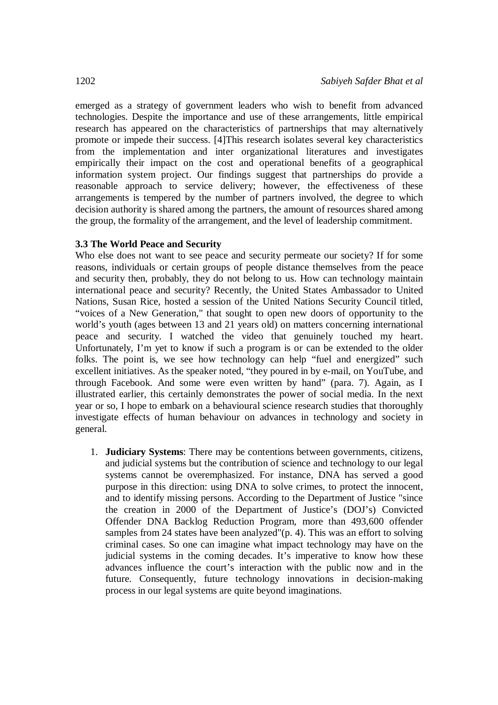emerged as a strategy of government leaders who wish to benefit from advanced technologies. Despite the importance and use of these arrangements, little empirical research has appeared on the characteristics of partnerships that may alternatively promote or impede their success. [4]This research isolates several key characteristics from the implementation and inter organizational literatures and investigates empirically their impact on the cost and operational benefits of a geographical information system project. Our findings suggest that partnerships do provide a reasonable approach to service delivery; however, the effectiveness of these arrangements is tempered by the number of partners involved, the degree to which decision authority is shared among the partners, the amount of resources shared among the group, the formality of the arrangement, and the level of leadership commitment.

### **3.3 The World Peace and Security**

Who else does not want to see peace and security permeate our society? If for some reasons, individuals or certain groups of people distance themselves from the peace and security then, probably, they do not belong to us. How can technology maintain international peace and security? Recently, the United States Ambassador to United Nations, Susan Rice, hosted a session of the United Nations Security Council titled, "voices of a New Generation," that sought to open new doors of opportunity to the world's youth (ages between 13 and 21 years old) on matters concerning international peace and security. I watched the video that genuinely touched my heart. Unfortunately, I'm yet to know if such a program is or can be extended to the older folks. The point is, we see how technology can help "fuel and energized" such excellent initiatives. As the speaker noted, "they poured in by e-mail, on YouTube, and through Facebook. And some were even written by hand" (para. 7). Again, as I illustrated earlier, this certainly demonstrates the power of social media. In the next year or so, I hope to embark on a behavioural science research studies that thoroughly investigate effects of human behaviour on advances in technology and society in general.

1. **Judiciary Systems**: There may be contentions between governments, citizens, and judicial systems but the contribution of science and technology to our legal systems cannot be overemphasized. For instance, DNA has served a good purpose in this direction: using DNA to solve crimes, to protect the innocent, and to identify missing persons. According to the Department of Justice "since the creation in 2000 of the Department of Justice's (DOJ's) Convicted Offender DNA Backlog Reduction Program, more than 493,600 offender samples from 24 states have been analyzed"(p. 4). This was an effort to solving criminal cases. So one can imagine what impact technology may have on the judicial systems in the coming decades. It's imperative to know how these advances influence the court's interaction with the public now and in the future. Consequently, future technology innovations in decision-making process in our legal systems are quite beyond imaginations.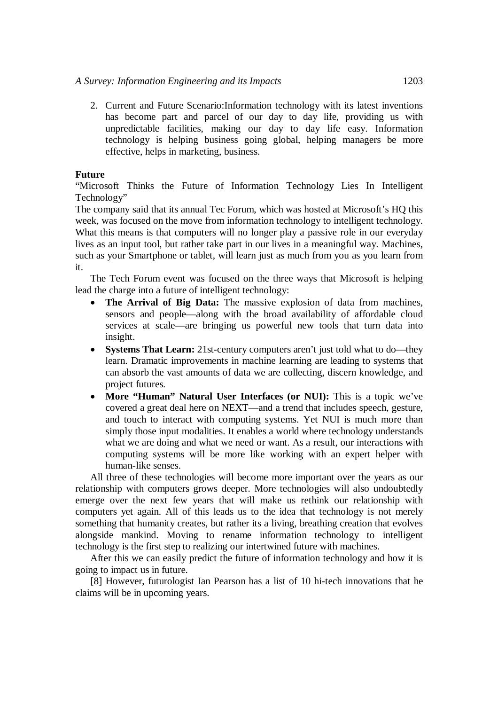2. Current and Future Scenario:Information technology with its latest inventions has become part and parcel of our day to day life, providing us with unpredictable facilities, making our day to day life easy. Information technology is helping business going global, helping managers be more effective, helps in marketing, business.

## **Future**

"Microsoft Thinks the Future of Information Technology Lies In Intelligent Technology"

The company said that its annual Tec Forum, which was hosted at Microsoft's HQ this week, was focused on the move from information technology to intelligent technology. What this means is that computers will no longer play a passive role in our everyday lives as an input tool, but rather take part in our lives in a meaningful way. Machines, such as your Smartphone or tablet, will learn just as much from you as you learn from it.

The Tech Forum event was focused on the three ways that Microsoft is helping lead the charge into a future of intelligent technology:

- **The Arrival of Big Data:** The massive explosion of data from machines, sensors and people—along with the broad availability of affordable cloud services at scale—are bringing us powerful new tools that turn data into insight.
- **Systems That Learn:** 21st-century computers aren't just told what to do—they learn. Dramatic improvements in machine learning are leading to systems that can absorb the vast amounts of data we are collecting, discern knowledge, and project futures.
- **More "Human" Natural User Interfaces (or NUI):** This is a topic we've covered a great deal here on NEXT—and a trend that includes speech, gesture, and touch to interact with computing systems. Yet NUI is much more than simply those input modalities. It enables a world where technology understands what we are doing and what we need or want. As a result, our interactions with computing systems will be more like working with an expert helper with human-like senses.

All three of these technologies will become more important over the years as our relationship with computers grows deeper. More technologies will also undoubtedly emerge over the next few years that will make us rethink our relationship with computers yet again. All of this leads us to the idea that technology is not merely something that humanity creates, but rather its a living, breathing creation that evolves alongside mankind. Moving to rename information technology to intelligent technology is the first step to realizing our intertwined future with machines.

After this we can easily predict the future of information technology and how it is going to impact us in future.

[8] However, futurologist Ian Pearson has a list of 10 hi-tech innovations that he claims will be in upcoming years.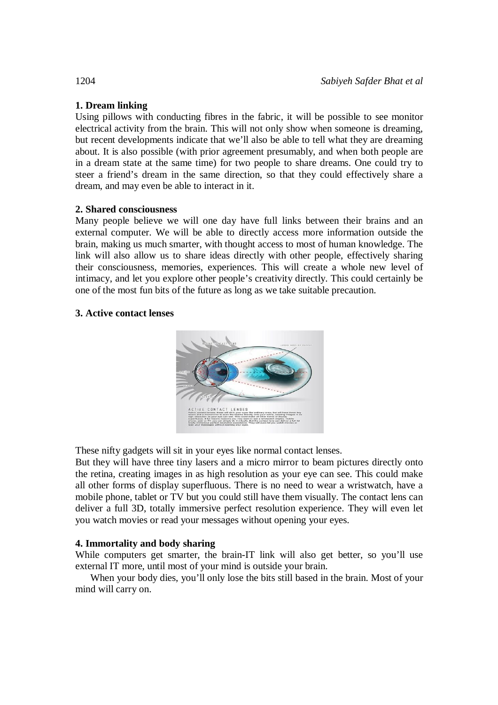## **1. Dream linking**

Using pillows with conducting fibres in the fabric, it will be possible to see monitor electrical activity from the brain. This will not only show when someone is dreaming, but recent developments indicate that we'll also be able to tell what they are dreaming about. It is also possible (with prior agreement presumably, and when both people are in a dream state at the same time) for two people to share dreams. One could try to steer a friend's dream in the same direction, so that they could effectively share a dream, and may even be able to interact in it.

## **2. Shared consciousness**

Many people believe we will one day have full links between their brains and an external computer. We will be able to directly access more information outside the brain, making us much smarter, with thought access to most of human knowledge. The link will also allow us to share ideas directly with other people, effectively sharing their consciousness, memories, experiences. This will create a whole new level of intimacy, and let you explore other people's creativity directly. This could certainly be one of the most fun bits of the future as long as we take suitable precaution.

## **3. Active contact lenses**



These nifty gadgets will sit in your eyes like normal contact lenses.

But they will have three tiny lasers and a micro mirror to beam pictures directly onto the retina, creating images in as high resolution as your eye can see. This could make all other forms of display superfluous. There is no need to wear a wristwatch, have a mobile phone, tablet or TV but you could still have them visually. The contact lens can deliver a full 3D, totally immersive perfect resolution experience. They will even let you watch movies or read your messages without opening your eyes.

### **4. Immortality and body sharing**

While computers get smarter, the brain-IT link will also get better, so you'll use external IT more, until most of your mind is outside your brain.

When your body dies, you'll only lose the bits still based in the brain. Most of your mind will carry on.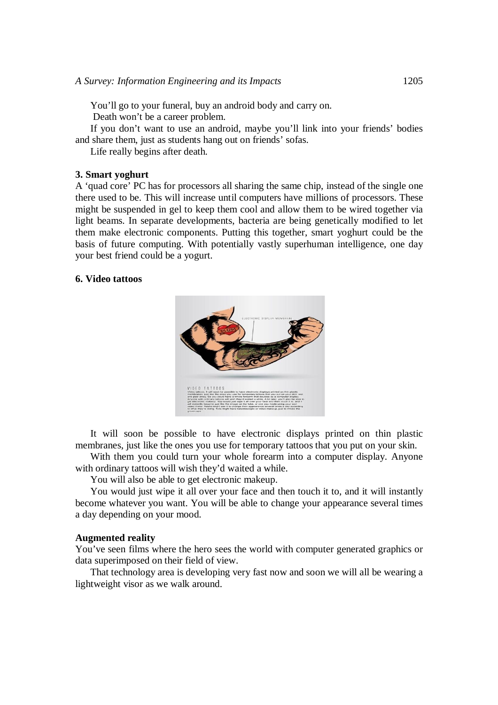You'll go to your funeral, buy an android body and carry on.

Death won't be a career problem.

If you don't want to use an android, maybe you'll link into your friends' bodies and share them, just as students hang out on friends' sofas.

Life really begins after death.

#### **3. Smart yoghurt**

A 'quad core' PC has for processors all sharing the same chip, instead of the single one there used to be. This will increase until computers have millions of processors. These might be suspended in gel to keep them cool and allow them to be wired together via light beams. In separate developments, bacteria are being genetically modified to let them make electronic components. Putting this together, smart yoghurt could be the basis of future computing. With potentially vastly superhuman intelligence, one day your best friend could be a yogurt.

#### **6. Video tattoos**



It will soon be possible to have electronic displays printed on thin plastic membranes, just like the ones you use for temporary tattoos that you put on your skin.

With them you could turn your whole forearm into a computer display. Anyone with ordinary tattoos will wish they'd waited a while.

You will also be able to get electronic makeup.

You would just wipe it all over your face and then touch it to, and it will instantly become whatever you want. You will be able to change your appearance several times a day depending on your mood.

#### **Augmented reality**

You've seen films where the hero sees the world with computer generated graphics or data superimposed on their field of view.

That technology area is developing very fast now and soon we will all be wearing a lightweight visor as we walk around.